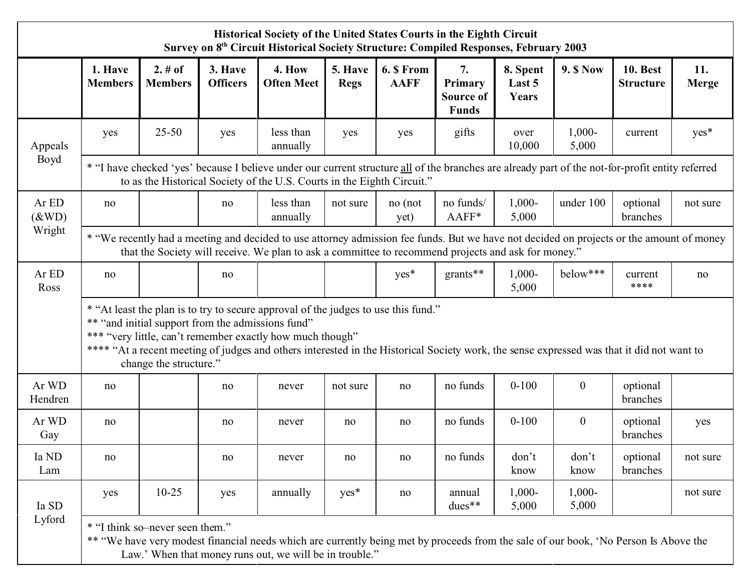| Historical Society of the United States Courts in the Eighth Circuit<br>Survey on 8 <sup>th</sup> Circuit Historical Society Structure: Compiled Responses, February 2003 |                                                                                                                                                                                                                                                                                                                                                                             |                           |                            |                             |                        |                           |                                                   |                             |                    |                                     |              |
|---------------------------------------------------------------------------------------------------------------------------------------------------------------------------|-----------------------------------------------------------------------------------------------------------------------------------------------------------------------------------------------------------------------------------------------------------------------------------------------------------------------------------------------------------------------------|---------------------------|----------------------------|-----------------------------|------------------------|---------------------------|---------------------------------------------------|-----------------------------|--------------------|-------------------------------------|--------------|
|                                                                                                                                                                           | 1. Have<br><b>Members</b>                                                                                                                                                                                                                                                                                                                                                   | 2. # of<br><b>Members</b> | 3. Have<br><b>Officers</b> | 4. How<br><b>Often Meet</b> | 5. Have<br><b>Regs</b> | 6. \$ From<br><b>AAFF</b> | 7.<br>Primary<br><b>Source of</b><br><b>Funds</b> | 8. Spent<br>Last 5<br>Years | <b>9. \$ Now</b>   | <b>10. Best</b><br><b>Structure</b> | 11.<br>Merge |
| Appeals<br>Boyd                                                                                                                                                           | yes                                                                                                                                                                                                                                                                                                                                                                         | $25 - 50$                 | yes                        | less than<br>annually       | yes                    | yes                       | gifts                                             | over<br>10,000              | $1,000 -$<br>5,000 | current                             | yes*         |
|                                                                                                                                                                           | * "I have checked 'yes' because I believe under our current structure all of the branches are already part of the not-for-profit entity referred<br>to as the Historical Society of the U.S. Courts in the Eighth Circuit."                                                                                                                                                 |                           |                            |                             |                        |                           |                                                   |                             |                    |                                     |              |
| Ar ED<br>$(\&$ WD)<br>Wright                                                                                                                                              | no                                                                                                                                                                                                                                                                                                                                                                          |                           | no                         | less than<br>annually       | not sure               | no (not<br>yet)           | no funds/<br>AAFF*                                | $1,000 -$<br>5,000          | under 100          | optional<br>branches                | not sure     |
|                                                                                                                                                                           | * "We recently had a meeting and decided to use attorney admission fee funds. But we have not decided on projects or the amount of money<br>that the Society will receive. We plan to ask a committee to recommend projects and ask for money."                                                                                                                             |                           |                            |                             |                        |                           |                                                   |                             |                    |                                     |              |
| Ar ED<br>Ross                                                                                                                                                             | no                                                                                                                                                                                                                                                                                                                                                                          |                           | no                         |                             |                        | $yes*$                    | $grants**$                                        | $1,000 -$<br>5,000          | $below***$         | current<br>****                     | no           |
|                                                                                                                                                                           | * "At least the plan is to try to secure approval of the judges to use this fund."<br>** "and initial support from the admissions fund"<br>*** "very little, can't remember exactly how much though"<br>**** "At a recent meeting of judges and others interested in the Historical Society work, the sense expressed was that it did not want to<br>change the structure." |                           |                            |                             |                        |                           |                                                   |                             |                    |                                     |              |
| Ar WD<br>Hendren                                                                                                                                                          | no                                                                                                                                                                                                                                                                                                                                                                          |                           | no                         | never                       | not sure               | no                        | no funds                                          | $0 - 100$                   | $\overline{0}$     | optional<br>branches                |              |
| Ar WD<br>Gay                                                                                                                                                              | no                                                                                                                                                                                                                                                                                                                                                                          |                           | no                         | never                       | no                     | no                        | no funds                                          | $0 - 100$                   | $\theta$           | optional<br>branches                | yes          |
| Ia ND<br>Lam                                                                                                                                                              | no                                                                                                                                                                                                                                                                                                                                                                          |                           | no                         | never                       | no                     | no                        | no funds                                          | don't<br>know               | don't<br>know      | optional<br>branches                | not sure     |
| Ia SD<br>Lyford                                                                                                                                                           | yes                                                                                                                                                                                                                                                                                                                                                                         | $10 - 25$                 | yes                        | annually                    | $yes*$                 | no                        | annual<br>$dues**$                                | $1,000-$<br>5,000           | $1,000-$<br>5,000  |                                     | not sure     |
|                                                                                                                                                                           | * "I think so-never seen them."<br>** "We have very modest financial needs which are currently being met by proceeds from the sale of our book, 'No Person Is Above the<br>Law.' When that money runs out, we will be in trouble."                                                                                                                                          |                           |                            |                             |                        |                           |                                                   |                             |                    |                                     |              |